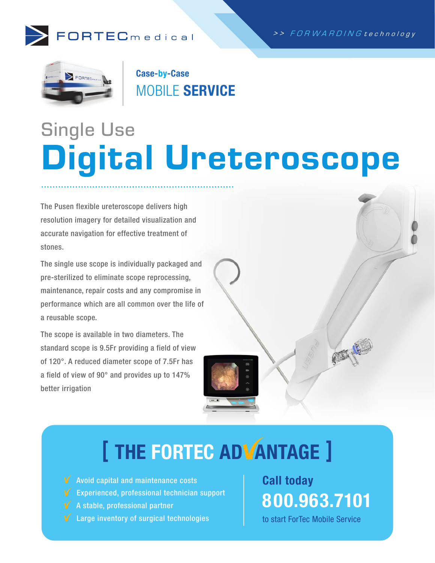



Case-by-Case MOBILE SERVICE

# Single Use Digital Ureteroscope

The Pusen flexible ureteroscope delivers high resolution imagery for detailed visualization and accurate navigation for effective treatment of stones.

The single use scope is individually packaged and pre-sterilized to eliminate scope reprocessing, maintenance, repair costs and any compromise in performance which are all common over the life of a reusable scope.

The scope is available in two diameters. The standard scope is 9.5Fr providing a field of view of 120°. A reduced diameter scope of 7.5Fr has a field of view of 90° and provides up to 147% better irrigation

# [ THE FORTEC ADVANTAGE ]

- **V** Avoid capital and maintenance costs
- **V** Experienced, professional technician support
- $\blacklozenge$  A stable, professional partner
- **V** Large inventory of surgical technologies

Call today 800.963.7101

to start ForTec Mobile Service